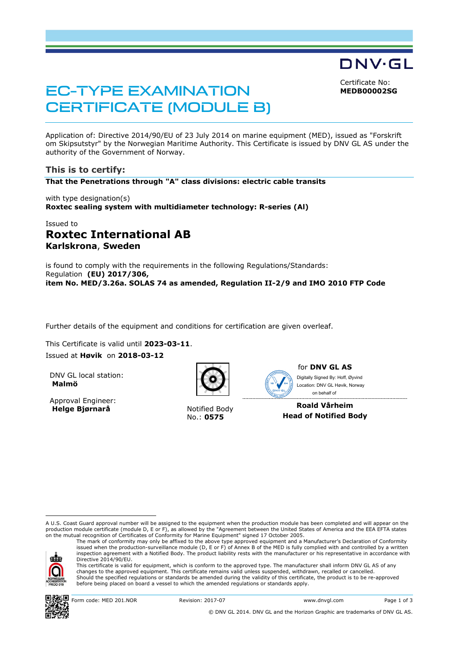Certificate No: **MEDB00002SG**

DNV·GL

# EC-TYPE EXAMINATION CERTIFICATE (MODULE B)

Application of: Directive 2014/90/EU of 23 July 2014 on marine equipment (MED), issued as "Forskrift om Skipsutstyr" by the Norwegian Maritime Authority. This Certificate is issued by DNV GL AS under the authority of the Government of Norway.

### **This is to certify:**

**That the Penetrations through "A" class divisions: electric cable transits**

with type designation(s) **Roxtec sealing system with multidiameter technology: R-series (Al)**

# Issued to **Roxtec International AB Karlskrona**, **Sweden**

is found to comply with the requirements in the following Regulations/Standards: Regulation **(EU) 2017/306, item No. MED/3.26a. SOLAS 74 as amended, Regulation II-2/9 and IMO 2010 FTP Code** 

Further details of the equipment and conditions for certification are given overleaf.

This Certificate is valid until **2023-03-11**.

Issued at **Høvik** on **2018-03-12**

DNV GL local station: **Malmö**

Approval Engineer: **Helge Biørnarå** Notified Body



No.: **0575**



for **DNV GL AS** Digitally Signed By: Hoff, Øyvind

Location: DNV GL Høvik, Norway on behalf of------------------------------------**Roald Vårheim** 

**Head of Notified Body** 

A U.S. Coast Guard approval number will be assigned to the equipment when the production module has been completed and will appear on the production module certificate (module D, E or F), as allowed by the "Agreement between the United States of America and the EEA EFTA states on the mutual recognition of Certificates of Conformity for Marine Equipment" signed 17 October 2005. The mark of conformity may only be affixed to the above type approved equipment and a Manufacturer's Declaration of Conformity

ak

ı

inspection agreement with a Notified Body. The product liability rests with the manufacturer or his representative in accordance with Directive 2014/90/EU. This certificate is valid for equipment, which is conform to the approved type. The manufacturer shall inform DNV GL AS of any changes to the approved equipment. This certificate remains valid unless suspended, withdrawn, recalled or cancelled. Should the specified regulations or standards be amended during the validity of this certificate, the product is to be re-approved

issued when the production-surveillance module (D, E or F) of Annex B of the MED is fully complied with and controlled by a written

before being placed on board a vessel to which the amended regulations or standards apply.



Form code: MED 201.NOR Revision: 2017-07 www.dnvgl.com Page 1 of 3

© DNV GL 2014. DNV GL and the Horizon Graphic are trademarks of DNV GL AS.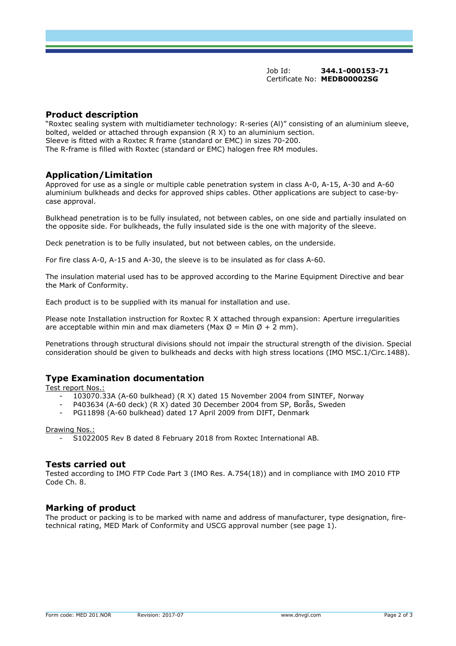#### **Product description**

"Roxtec sealing system with multidiameter technology: R-series (Al)" consisting of an aluminium sleeve, bolted, welded or attached through expansion (R X) to an aluminium section. Sleeve is fitted with a Roxtec R frame (standard or EMC) in sizes 70-200. The R-frame is filled with Roxtec (standard or EMC) halogen free RM modules.

### **Application/Limitation**

Approved for use as a single or multiple cable penetration system in class A-0, A-15, A-30 and A-60 aluminium bulkheads and decks for approved ships cables. Other applications are subject to case-bycase approval.

Bulkhead penetration is to be fully insulated, not between cables, on one side and partially insulated on the opposite side. For bulkheads, the fully insulated side is the one with majority of the sleeve.

Deck penetration is to be fully insulated, but not between cables, on the underside.

For fire class A-0, A-15 and A-30, the sleeve is to be insulated as for class A-60.

The insulation material used has to be approved according to the Marine Equipment Directive and bear the Mark of Conformity.

Each product is to be supplied with its manual for installation and use.

Please note Installation instruction for Roxtec R X attached through expansion: Aperture irregularities are acceptable within min and max diameters (Max  $\emptyset$  = Min  $\emptyset$  + 2 mm).

Penetrations through structural divisions should not impair the structural strength of the division. Special consideration should be given to bulkheads and decks with high stress locations (IMO MSC.1/Circ.1488).

### **Type Examination documentation**

Test report Nos.:

- 103070.33A (A-60 bulkhead) (R X) dated 15 November 2004 from SINTEF, Norway
- P403634 (A-60 deck) (R X) dated 30 December 2004 from SP, Borås, Sweden
- PG11898 (A-60 bulkhead) dated 17 April 2009 from DIFT, Denmark

#### Drawing Nos.:

- S1022005 Rev B dated 8 February 2018 from Roxtec International AB.

#### **Tests carried out**

Tested according to IMO FTP Code Part 3 (IMO Res. A.754(18)) and in compliance with IMO 2010 FTP Code Ch. 8.

#### **Marking of product**

The product or packing is to be marked with name and address of manufacturer, type designation, firetechnical rating, MED Mark of Conformity and USCG approval number (see page 1).